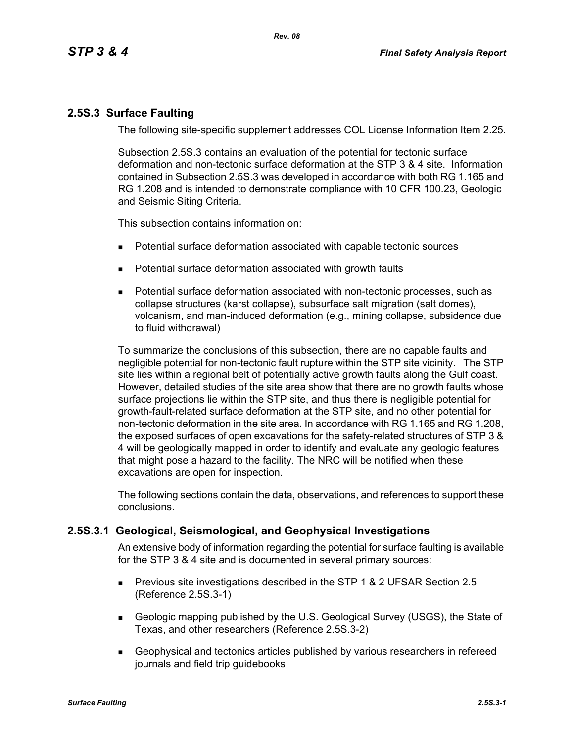# **2.5S.3 Surface Faulting**

The following site-specific supplement addresses COL License Information Item 2.25.

Subsection 2.5S.3 contains an evaluation of the potential for tectonic surface deformation and non-tectonic surface deformation at the STP 3 & 4 site. Information contained in Subsection 2.5S.3 was developed in accordance with both RG 1.165 and RG 1.208 and is intended to demonstrate compliance with 10 CFR 100.23, Geologic and Seismic Siting Criteria.

This subsection contains information on:

- Potential surface deformation associated with capable tectonic sources
- **Potential surface deformation associated with growth faults**
- Potential surface deformation associated with non-tectonic processes, such as collapse structures (karst collapse), subsurface salt migration (salt domes), volcanism, and man-induced deformation (e.g., mining collapse, subsidence due to fluid withdrawal)

To summarize the conclusions of this subsection, there are no capable faults and negligible potential for non-tectonic fault rupture within the STP site vicinity. The STP site lies within a regional belt of potentially active growth faults along the Gulf coast. However, detailed studies of the site area show that there are no growth faults whose surface projections lie within the STP site, and thus there is negligible potential for growth-fault-related surface deformation at the STP site, and no other potential for non-tectonic deformation in the site area. In accordance with RG 1.165 and RG 1.208, the exposed surfaces of open excavations for the safety-related structures of STP 3 & 4 will be geologically mapped in order to identify and evaluate any geologic features that might pose a hazard to the facility. The NRC will be notified when these excavations are open for inspection.

The following sections contain the data, observations, and references to support these conclusions.

# **2.5S.3.1 Geological, Seismological, and Geophysical Investigations**

An extensive body of information regarding the potential for surface faulting is available for the STP 3 & 4 site and is documented in several primary sources:

- **Previous site investigations described in the STP 1 & 2 UFSAR Section 2.5** (Reference 2.5S.3-1)
- Geologic mapping published by the U.S. Geological Survey (USGS), the State of Texas, and other researchers (Reference 2.5S.3-2)
- Geophysical and tectonics articles published by various researchers in refereed journals and field trip guidebooks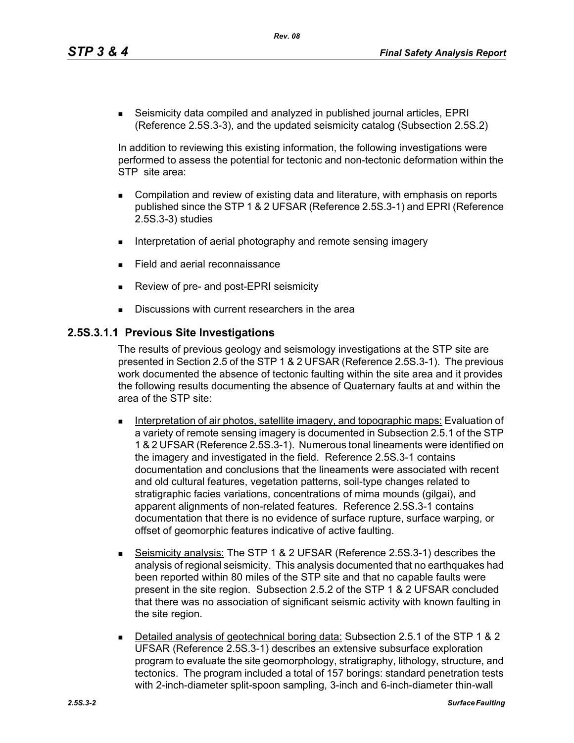*Rev. 08*

 Seismicity data compiled and analyzed in published journal articles, EPRI (Reference 2.5S.3-3), and the updated seismicity catalog (Subsection 2.5S.2)

In addition to reviewing this existing information, the following investigations were performed to assess the potential for tectonic and non-tectonic deformation within the STP site area:

- Compilation and review of existing data and literature, with emphasis on reports published since the STP 1 & 2 UFSAR (Reference 2.5S.3-1) and EPRI (Reference 2.5S.3-3) studies
- Interpretation of aerial photography and remote sensing imagery
- Field and aerial reconnaissance
- Review of pre- and post-EPRI seismicity
- Discussions with current researchers in the area

## **2.5S.3.1.1 Previous Site Investigations**

The results of previous geology and seismology investigations at the STP site are presented in Section 2.5 of the STP 1 & 2 UFSAR (Reference 2.5S.3-1). The previous work documented the absence of tectonic faulting within the site area and it provides the following results documenting the absence of Quaternary faults at and within the area of the STP site:

- **Interpretation of air photos, satellite imagery, and topographic maps: Evaluation of** a variety of remote sensing imagery is documented in Subsection 2.5.1 of the STP 1 & 2 UFSAR (Reference 2.5S.3-1). Numerous tonal lineaments were identified on the imagery and investigated in the field. Reference 2.5S.3-1 contains documentation and conclusions that the lineaments were associated with recent and old cultural features, vegetation patterns, soil-type changes related to stratigraphic facies variations, concentrations of mima mounds (gilgai), and apparent alignments of non-related features. Reference 2.5S.3-1 contains documentation that there is no evidence of surface rupture, surface warping, or offset of geomorphic features indicative of active faulting.
- Seismicity analysis: The STP 1 & 2 UFSAR (Reference 2.5S.3-1) describes the analysis of regional seismicity. This analysis documented that no earthquakes had been reported within 80 miles of the STP site and that no capable faults were present in the site region. Subsection 2.5.2 of the STP 1 & 2 UFSAR concluded that there was no association of significant seismic activity with known faulting in the site region.
- Detailed analysis of geotechnical boring data: Subsection 2.5.1 of the STP 1 & 2 UFSAR (Reference 2.5S.3-1) describes an extensive subsurface exploration program to evaluate the site geomorphology, stratigraphy, lithology, structure, and tectonics. The program included a total of 157 borings: standard penetration tests with 2-inch-diameter split-spoon sampling, 3-inch and 6-inch-diameter thin-wall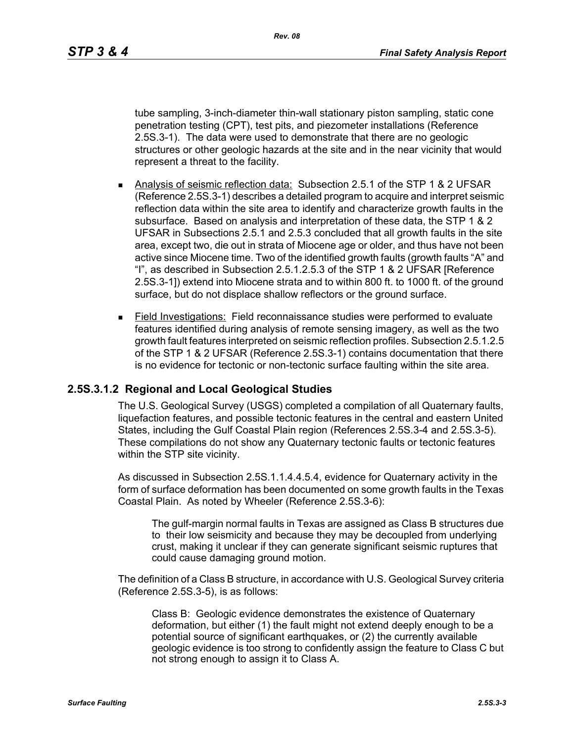*Rev. 08*

tube sampling, 3-inch-diameter thin-wall stationary piston sampling, static cone penetration testing (CPT), test pits, and piezometer installations (Reference 2.5S.3-1). The data were used to demonstrate that there are no geologic structures or other geologic hazards at the site and in the near vicinity that would represent a threat to the facility.

- Analysis of seismic reflection data: Subsection 2.5.1 of the STP 1 & 2 UFSAR (Reference 2.5S.3-1) describes a detailed program to acquire and interpret seismic reflection data within the site area to identify and characterize growth faults in the subsurface. Based on analysis and interpretation of these data, the STP 1 & 2 UFSAR in Subsections 2.5.1 and 2.5.3 concluded that all growth faults in the site area, except two, die out in strata of Miocene age or older, and thus have not been active since Miocene time. Two of the identified growth faults (growth faults "A" and "I", as described in Subsection 2.5.1.2.5.3 of the STP 1 & 2 UFSAR [Reference 2.5S.3-1]) extend into Miocene strata and to within 800 ft. to 1000 ft. of the ground surface, but do not displace shallow reflectors or the ground surface.
- Field Investigations: Field reconnaissance studies were performed to evaluate features identified during analysis of remote sensing imagery, as well as the two growth fault features interpreted on seismic reflection profiles. Subsection 2.5.1.2.5 of the STP 1 & 2 UFSAR (Reference 2.5S.3-1) contains documentation that there is no evidence for tectonic or non-tectonic surface faulting within the site area.

# **2.5S.3.1.2 Regional and Local Geological Studies**

The U.S. Geological Survey (USGS) completed a compilation of all Quaternary faults, liquefaction features, and possible tectonic features in the central and eastern United States, including the Gulf Coastal Plain region (References 2.5S.3-4 and 2.5S.3-5). These compilations do not show any Quaternary tectonic faults or tectonic features within the STP site vicinity.

As discussed in Subsection 2.5S.1.1.4.4.5.4, evidence for Quaternary activity in the form of surface deformation has been documented on some growth faults in the Texas Coastal Plain. As noted by Wheeler (Reference 2.5S.3-6):

The gulf-margin normal faults in Texas are assigned as Class B structures due to their low seismicity and because they may be decoupled from underlying crust, making it unclear if they can generate significant seismic ruptures that could cause damaging ground motion.

The definition of a Class B structure, in accordance with U.S. Geological Survey criteria (Reference 2.5S.3-5), is as follows:

Class B: Geologic evidence demonstrates the existence of Quaternary deformation, but either (1) the fault might not extend deeply enough to be a potential source of significant earthquakes, or (2) the currently available geologic evidence is too strong to confidently assign the feature to Class C but not strong enough to assign it to Class A.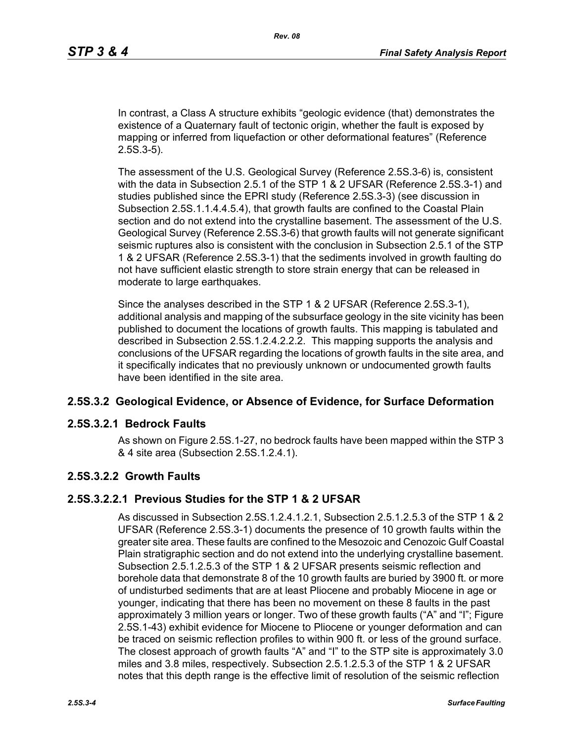In contrast, a Class A structure exhibits "geologic evidence (that) demonstrates the existence of a Quaternary fault of tectonic origin, whether the fault is exposed by mapping or inferred from liquefaction or other deformational features" (Reference 2.5S.3-5).

The assessment of the U.S. Geological Survey (Reference 2.5S.3-6) is, consistent with the data in Subsection 2.5.1 of the STP 1 & 2 UFSAR (Reference 2.5S.3-1) and studies published since the EPRI study (Reference 2.5S.3-3) (see discussion in Subsection 2.5S.1.1.4.4.5.4), that growth faults are confined to the Coastal Plain section and do not extend into the crystalline basement. The assessment of the U.S. Geological Survey (Reference 2.5S.3-6) that growth faults will not generate significant seismic ruptures also is consistent with the conclusion in Subsection 2.5.1 of the STP 1 & 2 UFSAR (Reference 2.5S.3-1) that the sediments involved in growth faulting do not have sufficient elastic strength to store strain energy that can be released in moderate to large earthquakes.

Since the analyses described in the STP 1 & 2 UFSAR (Reference 2.5S.3-1), additional analysis and mapping of the subsurface geology in the site vicinity has been published to document the locations of growth faults. This mapping is tabulated and described in Subsection 2.5S.1.2.4.2.2.2. This mapping supports the analysis and conclusions of the UFSAR regarding the locations of growth faults in the site area, and it specifically indicates that no previously unknown or undocumented growth faults have been identified in the site area.

### **2.5S.3.2 Geological Evidence, or Absence of Evidence, for Surface Deformation**

### **2.5S.3.2.1 Bedrock Faults**

As shown on Figure 2.5S.1-27, no bedrock faults have been mapped within the STP 3 & 4 site area (Subsection 2.5S.1.2.4.1).

### **2.5S.3.2.2 Growth Faults**

### **2.5S.3.2.2.1 Previous Studies for the STP 1 & 2 UFSAR**

As discussed in Subsection 2.5S.1.2.4.1.2.1, Subsection 2.5.1.2.5.3 of the STP 1 & 2 UFSAR (Reference 2.5S.3-1) documents the presence of 10 growth faults within the greater site area. These faults are confined to the Mesozoic and Cenozoic Gulf Coastal Plain stratigraphic section and do not extend into the underlying crystalline basement. Subsection 2.5.1.2.5.3 of the STP 1 & 2 UFSAR presents seismic reflection and borehole data that demonstrate 8 of the 10 growth faults are buried by 3900 ft. or more of undisturbed sediments that are at least Pliocene and probably Miocene in age or younger, indicating that there has been no movement on these 8 faults in the past approximately 3 million years or longer. Two of these growth faults ("A" and "I"; Figure 2.5S.1-43) exhibit evidence for Miocene to Pliocene or younger deformation and can be traced on seismic reflection profiles to within 900 ft. or less of the ground surface. The closest approach of growth faults "A" and "I" to the STP site is approximately 3.0 miles and 3.8 miles, respectively. Subsection 2.5.1.2.5.3 of the STP 1 & 2 UFSAR notes that this depth range is the effective limit of resolution of the seismic reflection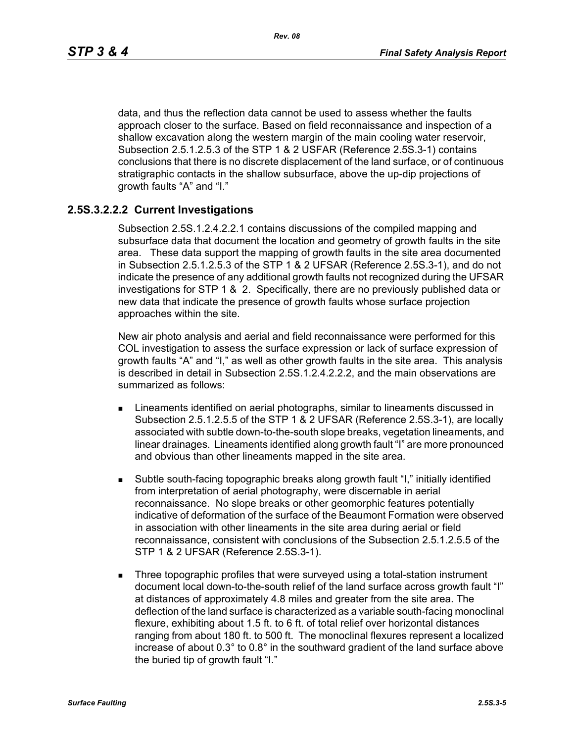data, and thus the reflection data cannot be used to assess whether the faults approach closer to the surface. Based on field reconnaissance and inspection of a shallow excavation along the western margin of the main cooling water reservoir, Subsection 2.5.1.2.5.3 of the STP 1 & 2 USFAR (Reference 2.5S.3-1) contains conclusions that there is no discrete displacement of the land surface, or of continuous stratigraphic contacts in the shallow subsurface, above the up-dip projections of growth faults "A" and "I."

# **2.5S.3.2.2.2 Current Investigations**

Subsection 2.5S.1.2.4.2.2.1 contains discussions of the compiled mapping and subsurface data that document the location and geometry of growth faults in the site area. These data support the mapping of growth faults in the site area documented in Subsection 2.5.1.2.5.3 of the STP 1 & 2 UFSAR (Reference 2.5S.3-1), and do not indicate the presence of any additional growth faults not recognized during the UFSAR investigations for STP 1 & 2. Specifically, there are no previously published data or new data that indicate the presence of growth faults whose surface projection approaches within the site.

New air photo analysis and aerial and field reconnaissance were performed for this COL investigation to assess the surface expression or lack of surface expression of growth faults "A" and "I," as well as other growth faults in the site area. This analysis is described in detail in Subsection 2.5S.1.2.4.2.2.2, and the main observations are summarized as follows:

- **EXTERGHEED EXECUTE:** Lineaments identified on aerial photographs, similar to lineaments discussed in Subsection 2.5.1.2.5.5 of the STP 1 & 2 UFSAR (Reference 2.5S.3-1), are locally associated with subtle down-to-the-south slope breaks, vegetation lineaments, and linear drainages. Lineaments identified along growth fault "I" are more pronounced and obvious than other lineaments mapped in the site area.
- Subtle south-facing topographic breaks along growth fault "I," initially identified from interpretation of aerial photography, were discernable in aerial reconnaissance. No slope breaks or other geomorphic features potentially indicative of deformation of the surface of the Beaumont Formation were observed in association with other lineaments in the site area during aerial or field reconnaissance, consistent with conclusions of the Subsection 2.5.1.2.5.5 of the STP 1 & 2 UFSAR (Reference 2.5S.3-1).
- **Three topographic profiles that were surveyed using a total-station instrument** document local down-to-the-south relief of the land surface across growth fault "I" at distances of approximately 4.8 miles and greater from the site area. The deflection of the land surface is characterized as a variable south-facing monoclinal flexure, exhibiting about 1.5 ft. to 6 ft. of total relief over horizontal distances ranging from about 180 ft. to 500 ft. The monoclinal flexures represent a localized increase of about 0.3° to 0.8° in the southward gradient of the land surface above the buried tip of growth fault "I."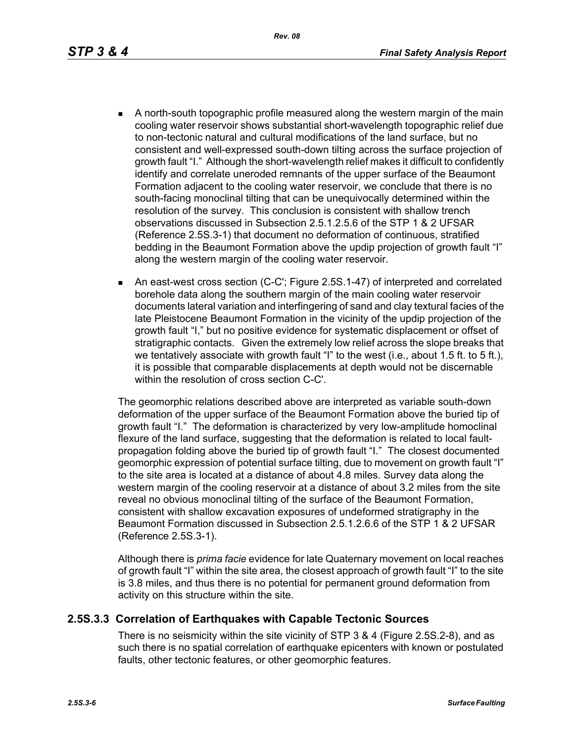- - A north-south topographic profile measured along the western margin of the main cooling water reservoir shows substantial short-wavelength topographic relief due to non-tectonic natural and cultural modifications of the land surface, but no consistent and well-expressed south-down tilting across the surface projection of growth fault "I." Although the short-wavelength relief makes it difficult to confidently identify and correlate uneroded remnants of the upper surface of the Beaumont Formation adjacent to the cooling water reservoir, we conclude that there is no south-facing monoclinal tilting that can be unequivocally determined within the resolution of the survey. This conclusion is consistent with shallow trench observations discussed in Subsection 2.5.1.2.5.6 of the STP 1 & 2 UFSAR (Reference 2.5S.3-1) that document no deformation of continuous, stratified bedding in the Beaumont Formation above the updip projection of growth fault "I" along the western margin of the cooling water reservoir.
	- An east-west cross section (C-C'; Figure 2.5S.1-47) of interpreted and correlated borehole data along the southern margin of the main cooling water reservoir documents lateral variation and interfingering of sand and clay textural facies of the late Pleistocene Beaumont Formation in the vicinity of the updip projection of the growth fault "I," but no positive evidence for systematic displacement or offset of stratigraphic contacts. Given the extremely low relief across the slope breaks that we tentatively associate with growth fault "I" to the west (i.e., about 1.5 ft. to 5 ft.), it is possible that comparable displacements at depth would not be discernable within the resolution of cross section C-C'.

The geomorphic relations described above are interpreted as variable south-down deformation of the upper surface of the Beaumont Formation above the buried tip of growth fault "I." The deformation is characterized by very low-amplitude homoclinal flexure of the land surface, suggesting that the deformation is related to local faultpropagation folding above the buried tip of growth fault "I." The closest documented geomorphic expression of potential surface tilting, due to movement on growth fault "I" to the site area is located at a distance of about 4.8 miles. Survey data along the western margin of the cooling reservoir at a distance of about 3.2 miles from the site reveal no obvious monoclinal tilting of the surface of the Beaumont Formation, consistent with shallow excavation exposures of undeformed stratigraphy in the Beaumont Formation discussed in Subsection 2.5.1.2.6.6 of the STP 1 & 2 UFSAR (Reference 2.5S.3-1).

Although there is *prima facie* evidence for late Quaternary movement on local reaches of growth fault "I" within the site area, the closest approach of growth fault "I" to the site is 3.8 miles, and thus there is no potential for permanent ground deformation from activity on this structure within the site.

### **2.5S.3.3 Correlation of Earthquakes with Capable Tectonic Sources**

There is no seismicity within the site vicinity of STP 3 & 4 (Figure 2.5S.2-8), and as such there is no spatial correlation of earthquake epicenters with known or postulated faults, other tectonic features, or other geomorphic features.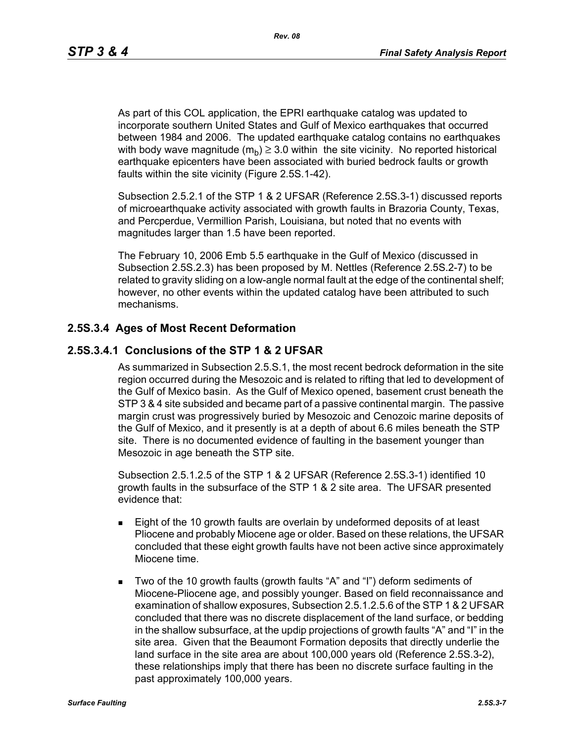As part of this COL application, the EPRI earthquake catalog was updated to incorporate southern United States and Gulf of Mexico earthquakes that occurred between 1984 and 2006. The updated earthquake catalog contains no earthquakes with body wave magnitude  $(m_h) \geq 3.0$  within the site vicinity. No reported historical earthquake epicenters have been associated with buried bedrock faults or growth faults within the site vicinity (Figure 2.5S.1-42).

*Rev. 08*

Subsection 2.5.2.1 of the STP 1 & 2 UFSAR (Reference 2.5S.3-1) discussed reports of microearthquake activity associated with growth faults in Brazoria County, Texas, and Percperdue, Vermillion Parish, Louisiana, but noted that no events with magnitudes larger than 1.5 have been reported.

The February 10, 2006 Emb 5.5 earthquake in the Gulf of Mexico (discussed in Subsection 2.5S.2.3) has been proposed by M. Nettles (Reference 2.5S.2-7) to be related to gravity sliding on a low-angle normal fault at the edge of the continental shelf; however, no other events within the updated catalog have been attributed to such mechanisms.

### **2.5S.3.4 Ages of Most Recent Deformation**

### **2.5S.3.4.1 Conclusions of the STP 1 & 2 UFSAR**

As summarized in Subsection 2.5.S.1, the most recent bedrock deformation in the site region occurred during the Mesozoic and is related to rifting that led to development of the Gulf of Mexico basin. As the Gulf of Mexico opened, basement crust beneath the STP 3 & 4 site subsided and became part of a passive continental margin. The passive margin crust was progressively buried by Mesozoic and Cenozoic marine deposits of the Gulf of Mexico, and it presently is at a depth of about 6.6 miles beneath the STP site. There is no documented evidence of faulting in the basement younger than Mesozoic in age beneath the STP site.

Subsection 2.5.1.2.5 of the STP 1 & 2 UFSAR (Reference 2.5S.3-1) identified 10 growth faults in the subsurface of the STP 1 & 2 site area. The UFSAR presented evidence that:

- **Eight of the 10 growth faults are overlain by undeformed deposits of at least** Pliocene and probably Miocene age or older. Based on these relations, the UFSAR concluded that these eight growth faults have not been active since approximately Miocene time.
- Two of the 10 growth faults (growth faults "A" and "I") deform sediments of Miocene-Pliocene age, and possibly younger. Based on field reconnaissance and examination of shallow exposures, Subsection 2.5.1.2.5.6 of the STP 1 & 2 UFSAR concluded that there was no discrete displacement of the land surface, or bedding in the shallow subsurface, at the updip projections of growth faults "A" and "I" in the site area. Given that the Beaumont Formation deposits that directly underlie the land surface in the site area are about 100,000 years old (Reference 2.5S.3-2), these relationships imply that there has been no discrete surface faulting in the past approximately 100,000 years.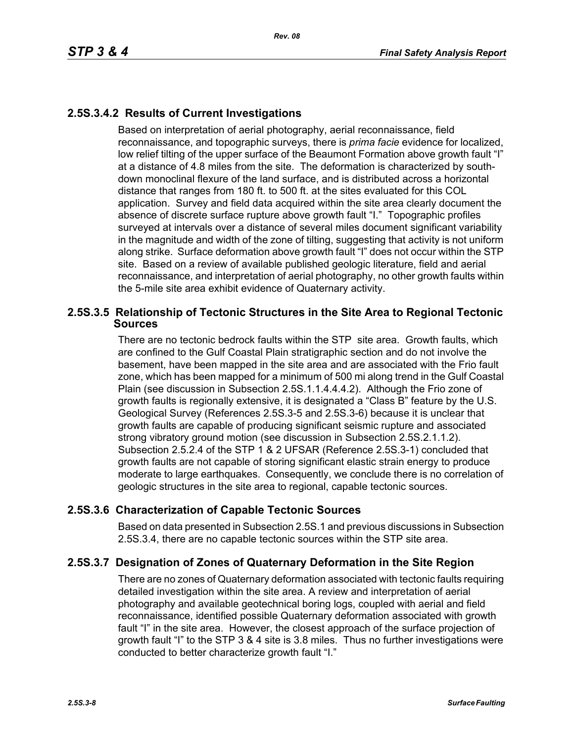# **2.5S.3.4.2 Results of Current Investigations**

Based on interpretation of aerial photography, aerial reconnaissance, field reconnaissance, and topographic surveys, there is *prima facie* evidence for localized, low relief tilting of the upper surface of the Beaumont Formation above growth fault "I" at a distance of 4.8 miles from the site. The deformation is characterized by southdown monoclinal flexure of the land surface, and is distributed across a horizontal distance that ranges from 180 ft. to 500 ft. at the sites evaluated for this COL application. Survey and field data acquired within the site area clearly document the absence of discrete surface rupture above growth fault "I." Topographic profiles surveyed at intervals over a distance of several miles document significant variability in the magnitude and width of the zone of tilting, suggesting that activity is not uniform along strike. Surface deformation above growth fault "I" does not occur within the STP site. Based on a review of available published geologic literature, field and aerial reconnaissance, and interpretation of aerial photography, no other growth faults within the 5-mile site area exhibit evidence of Quaternary activity.

## **2.5S.3.5 Relationship of Tectonic Structures in the Site Area to Regional Tectonic Sources**

There are no tectonic bedrock faults within the STP site area. Growth faults, which are confined to the Gulf Coastal Plain stratigraphic section and do not involve the basement, have been mapped in the site area and are associated with the Frio fault zone, which has been mapped for a minimum of 500 mi along trend in the Gulf Coastal Plain (see discussion in Subsection 2.5S.1.1.4.4.4.2). Although the Frio zone of growth faults is regionally extensive, it is designated a "Class B" feature by the U.S. Geological Survey (References 2.5S.3-5 and 2.5S.3-6) because it is unclear that growth faults are capable of producing significant seismic rupture and associated strong vibratory ground motion (see discussion in Subsection 2.5S.2.1.1.2). Subsection 2.5.2.4 of the STP 1 & 2 UFSAR (Reference 2.5S.3-1) concluded that growth faults are not capable of storing significant elastic strain energy to produce moderate to large earthquakes. Consequently, we conclude there is no correlation of geologic structures in the site area to regional, capable tectonic sources.

# **2.5S.3.6 Characterization of Capable Tectonic Sources**

Based on data presented in Subsection 2.5S.1 and previous discussions in Subsection 2.5S.3.4, there are no capable tectonic sources within the STP site area.

# **2.5S.3.7 Designation of Zones of Quaternary Deformation in the Site Region**

There are no zones of Quaternary deformation associated with tectonic faults requiring detailed investigation within the site area. A review and interpretation of aerial photography and available geotechnical boring logs, coupled with aerial and field reconnaissance, identified possible Quaternary deformation associated with growth fault "I" in the site area. However, the closest approach of the surface projection of growth fault "I" to the STP 3 & 4 site is 3.8 miles. Thus no further investigations were conducted to better characterize growth fault "I."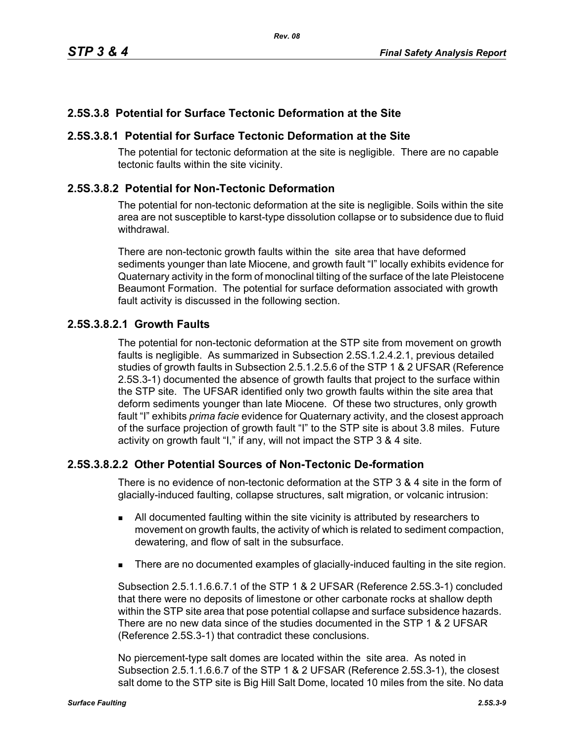# **2.5S.3.8 Potential for Surface Tectonic Deformation at the Site**

## **2.5S.3.8.1 Potential for Surface Tectonic Deformation at the Site**

The potential for tectonic deformation at the site is negligible. There are no capable tectonic faults within the site vicinity.

## **2.5S.3.8.2 Potential for Non-Tectonic Deformation**

The potential for non-tectonic deformation at the site is negligible. Soils within the site area are not susceptible to karst-type dissolution collapse or to subsidence due to fluid withdrawal.

There are non-tectonic growth faults within the site area that have deformed sediments younger than late Miocene, and growth fault "I" locally exhibits evidence for Quaternary activity in the form of monoclinal tilting of the surface of the late Pleistocene Beaumont Formation. The potential for surface deformation associated with growth fault activity is discussed in the following section.

## **2.5S.3.8.2.1 Growth Faults**

The potential for non-tectonic deformation at the STP site from movement on growth faults is negligible. As summarized in Subsection 2.5S.1.2.4.2.1, previous detailed studies of growth faults in Subsection 2.5.1.2.5.6 of the STP 1 & 2 UFSAR (Reference 2.5S.3-1) documented the absence of growth faults that project to the surface within the STP site. The UFSAR identified only two growth faults within the site area that deform sediments younger than late Miocene. Of these two structures, only growth fault "I" exhibits *prima facie* evidence for Quaternary activity, and the closest approach of the surface projection of growth fault "I" to the STP site is about 3.8 miles. Future activity on growth fault "I," if any, will not impact the STP 3 & 4 site.

# **2.5S.3.8.2.2 Other Potential Sources of Non-Tectonic De-formation**

There is no evidence of non-tectonic deformation at the STP 3 & 4 site in the form of glacially-induced faulting, collapse structures, salt migration, or volcanic intrusion:

- All documented faulting within the site vicinity is attributed by researchers to movement on growth faults, the activity of which is related to sediment compaction, dewatering, and flow of salt in the subsurface.
- **There are no documented examples of glacially-induced faulting in the site region.**

Subsection 2.5.1.1.6.6.7.1 of the STP 1 & 2 UFSAR (Reference 2.5S.3-1) concluded that there were no deposits of limestone or other carbonate rocks at shallow depth within the STP site area that pose potential collapse and surface subsidence hazards. There are no new data since of the studies documented in the STP 1 & 2 UFSAR (Reference 2.5S.3-1) that contradict these conclusions.

No piercement-type salt domes are located within the site area. As noted in Subsection 2.5.1.1.6.6.7 of the STP 1 & 2 UFSAR (Reference 2.5S.3-1), the closest salt dome to the STP site is Big Hill Salt Dome, located 10 miles from the site. No data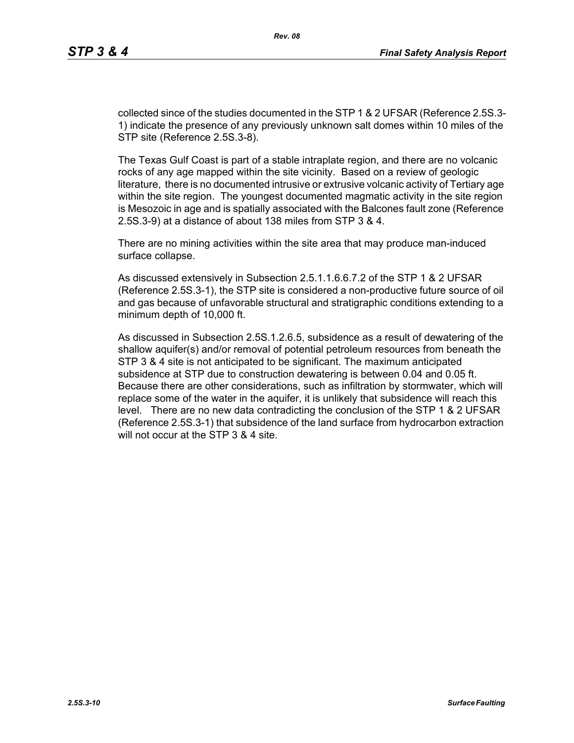collected since of the studies documented in the STP 1 & 2 UFSAR (Reference 2.5S.3- 1) indicate the presence of any previously unknown salt domes within 10 miles of the STP site (Reference 2.5S.3-8).

The Texas Gulf Coast is part of a stable intraplate region, and there are no volcanic rocks of any age mapped within the site vicinity. Based on a review of geologic literature, there is no documented intrusive or extrusive volcanic activity of Tertiary age within the site region. The youngest documented magmatic activity in the site region is Mesozoic in age and is spatially associated with the Balcones fault zone (Reference 2.5S.3-9) at a distance of about 138 miles from STP 3 & 4.

There are no mining activities within the site area that may produce man-induced surface collapse.

As discussed extensively in Subsection 2.5.1.1.6.6.7.2 of the STP 1 & 2 UFSAR (Reference 2.5S.3-1), the STP site is considered a non-productive future source of oil and gas because of unfavorable structural and stratigraphic conditions extending to a minimum depth of 10,000 ft.

As discussed in Subsection 2.5S.1.2.6.5, subsidence as a result of dewatering of the shallow aquifer(s) and/or removal of potential petroleum resources from beneath the STP 3 & 4 site is not anticipated to be significant. The maximum anticipated subsidence at STP due to construction dewatering is between 0.04 and 0.05 ft. Because there are other considerations, such as infiltration by stormwater, which will replace some of the water in the aquifer, it is unlikely that subsidence will reach this level. There are no new data contradicting the conclusion of the STP 1 & 2 UFSAR (Reference 2.5S.3-1) that subsidence of the land surface from hydrocarbon extraction will not occur at the STP 3 & 4 site.